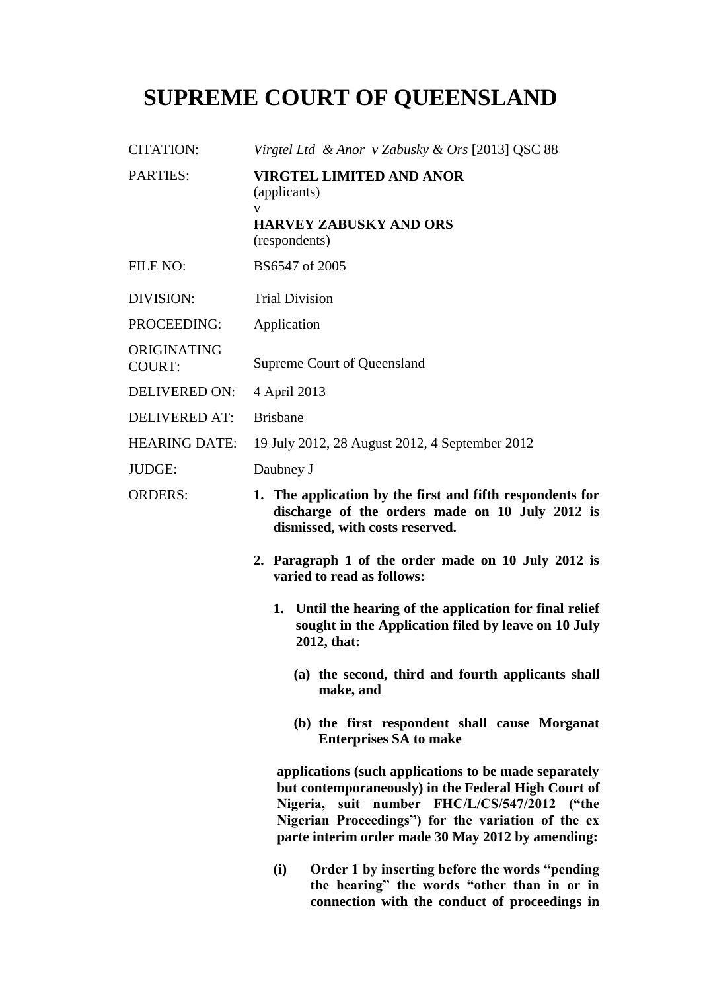## **SUPREME COURT OF QUEENSLAND**

| <b>CITATION:</b>      | Virgtel Ltd & Anor v Zabusky & Ors [2013] QSC 88                                                                                                                                                                                                                        |
|-----------------------|-------------------------------------------------------------------------------------------------------------------------------------------------------------------------------------------------------------------------------------------------------------------------|
| PARTIES:              | <b>VIRGTEL LIMITED AND ANOR</b><br>(applicants)<br>V                                                                                                                                                                                                                    |
|                       | <b>HARVEY ZABUSKY AND ORS</b><br>(respondents)                                                                                                                                                                                                                          |
| <b>FILE NO:</b>       | BS6547 of 2005                                                                                                                                                                                                                                                          |
| <b>DIVISION:</b>      | <b>Trial Division</b>                                                                                                                                                                                                                                                   |
| PROCEEDING:           | Application                                                                                                                                                                                                                                                             |
| ORIGINATING<br>COURT: | Supreme Court of Queensland                                                                                                                                                                                                                                             |
| <b>DELIVERED ON:</b>  | 4 April 2013                                                                                                                                                                                                                                                            |
| <b>DELIVERED AT:</b>  | <b>Brisbane</b>                                                                                                                                                                                                                                                         |
| <b>HEARING DATE:</b>  | 19 July 2012, 28 August 2012, 4 September 2012                                                                                                                                                                                                                          |
| <b>JUDGE:</b>         | Daubney J                                                                                                                                                                                                                                                               |
| <b>ORDERS:</b>        | 1. The application by the first and fifth respondents for<br>discharge of the orders made on 10 July 2012 is<br>dismissed, with costs reserved.                                                                                                                         |
|                       | 2. Paragraph 1 of the order made on 10 July 2012 is<br>varied to read as follows:                                                                                                                                                                                       |
|                       | 1. Until the hearing of the application for final relief<br>sought in the Application filed by leave on 10 July<br>2012, that:                                                                                                                                          |
|                       | (a) the second, third and fourth applicants shall<br>make, and                                                                                                                                                                                                          |
|                       | (b) the first respondent shall cause Morganat<br><b>Enterprises SA to make</b>                                                                                                                                                                                          |
|                       | applications (such applications to be made separately<br>but contemporaneously) in the Federal High Court of<br>Nigeria, suit number FHC/L/CS/547/2012 ("the<br>Nigerian Proceedings") for the variation of the ex<br>parte interim order made 30 May 2012 by amending: |
|                       | Order 1 by inserting before the words "pending<br>(i)                                                                                                                                                                                                                   |

**(i) Order 1 by inserting before the words "pending the hearing" the words "other than in or in connection with the conduct of proceedings in**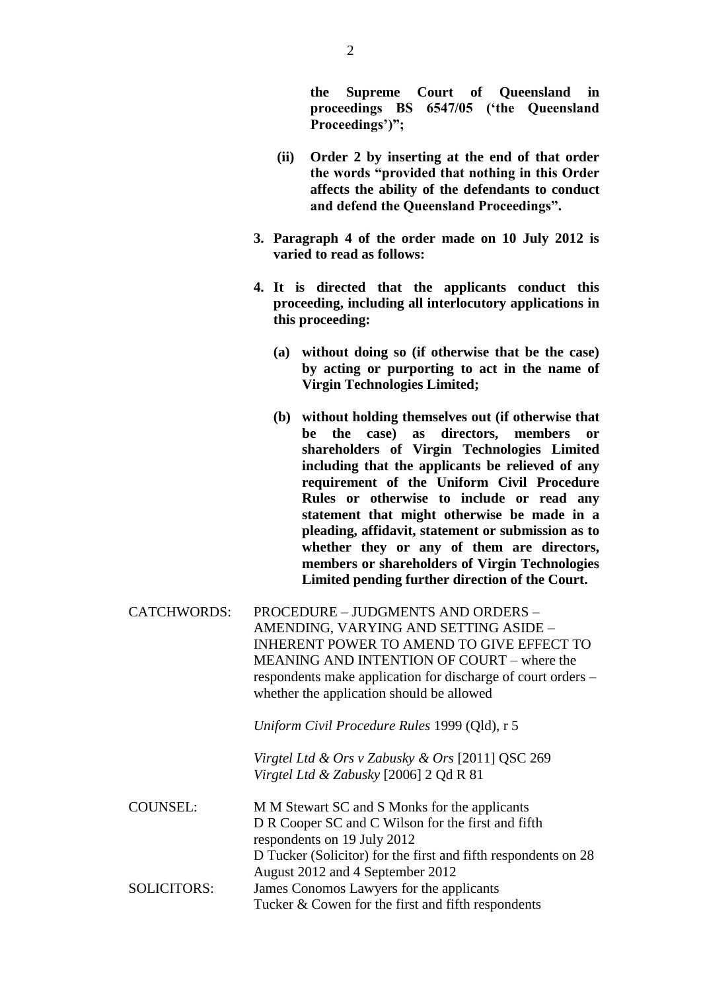**the Supreme Court of Queensland in proceedings BS 6547/05 ("the Queensland**  Proceedings')";

- **(ii) Order 2 by inserting at the end of that order the words "provided that nothing in this Order affects the ability of the defendants to conduct and defend the Queensland Proceedings".**
- **3. Paragraph 4 of the order made on 10 July 2012 is varied to read as follows:**
- **4. It is directed that the applicants conduct this proceeding, including all interlocutory applications in this proceeding:**
	- **(a) without doing so (if otherwise that be the case) by acting or purporting to act in the name of Virgin Technologies Limited;**
	- **(b) without holding themselves out (if otherwise that**  be the case) as directors, members **shareholders of Virgin Technologies Limited including that the applicants be relieved of any requirement of the Uniform Civil Procedure Rules or otherwise to include or read any statement that might otherwise be made in a pleading, affidavit, statement or submission as to whether they or any of them are directors, members or shareholders of Virgin Technologies Limited pending further direction of the Court.**
- CATCHWORDS: PROCEDURE JUDGMENTS AND ORDERS AMENDING, VARYING AND SETTING ASIDE – INHERENT POWER TO AMEND TO GIVE EFFECT TO MEANING AND INTENTION OF COURT – where the respondents make application for discharge of court orders – whether the application should be allowed

*Uniform Civil Procedure Rules* 1999 (Qld), r 5

*Virgtel Ltd & Ors v Zabusky & Ors* [2011] QSC 269 *Virgtel Ltd & Zabusky* [2006] 2 Qd R 81

| M M Stewart SC and S Monks for the applicants                  |
|----------------------------------------------------------------|
| D R Cooper SC and C Wilson for the first and fifth             |
| respondents on 19 July 2012                                    |
| D Tucker (Solicitor) for the first and fifth respondents on 28 |
| August 2012 and 4 September 2012                               |
| James Conomos Lawyers for the applicants                       |
| Tucker & Cowen for the first and fifth respondents             |
|                                                                |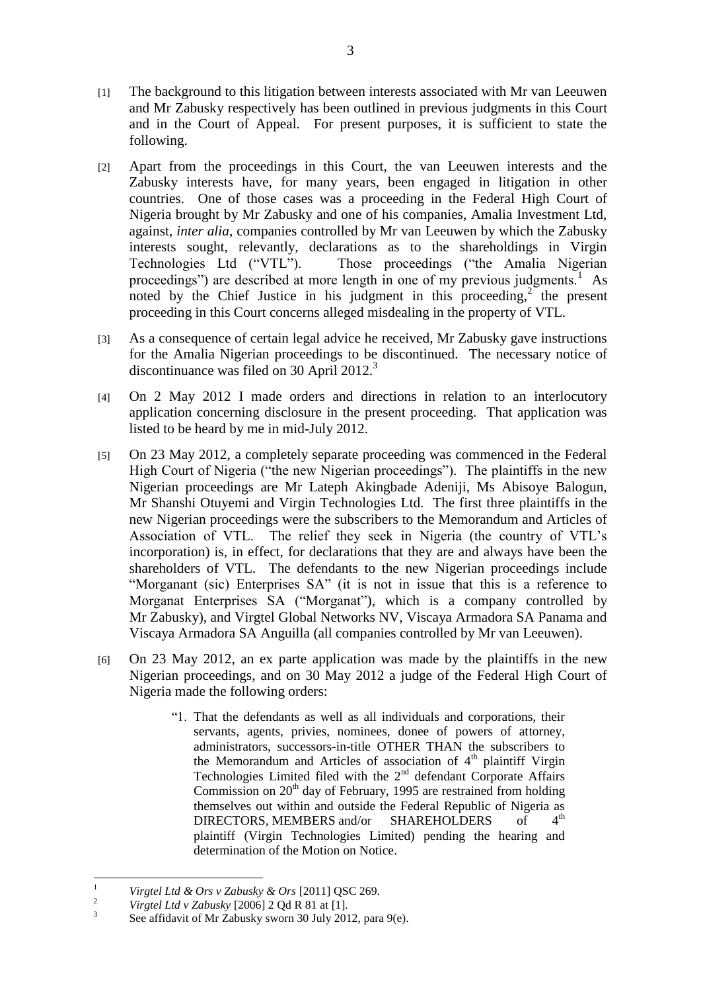- [1] The background to this litigation between interests associated with Mr van Leeuwen and Mr Zabusky respectively has been outlined in previous judgments in this Court and in the Court of Appeal. For present purposes, it is sufficient to state the following.
- [2] Apart from the proceedings in this Court, the van Leeuwen interests and the Zabusky interests have, for many years, been engaged in litigation in other countries. One of those cases was a proceeding in the Federal High Court of Nigeria brought by Mr Zabusky and one of his companies, Amalia Investment Ltd, against, *inter alia*, companies controlled by Mr van Leeuwen by which the Zabusky interests sought, relevantly, declarations as to the shareholdings in Virgin Technologies Ltd ("VTL"). Those proceedings ("the Amalia Nigerian proceedings") are described at more length in one of my previous judgments.<sup>1</sup> As noted by the Chief Justice in his judgment in this proceeding,<sup>2</sup> the present proceeding in this Court concerns alleged misdealing in the property of VTL.
- [3] As a consequence of certain legal advice he received, Mr Zabusky gave instructions for the Amalia Nigerian proceedings to be discontinued. The necessary notice of discontinuance was filed on 30 April 2012.<sup>3</sup>
- [4] On 2 May 2012 I made orders and directions in relation to an interlocutory application concerning disclosure in the present proceeding. That application was listed to be heard by me in mid-July 2012.
- [5] On 23 May 2012, a completely separate proceeding was commenced in the Federal High Court of Nigeria ("the new Nigerian proceedings"). The plaintiffs in the new Nigerian proceedings are Mr Lateph Akingbade Adeniji, Ms Abisoye Balogun, Mr Shanshi Otuyemi and Virgin Technologies Ltd. The first three plaintiffs in the new Nigerian proceedings were the subscribers to the Memorandum and Articles of Association of VTL. The relief they seek in Nigeria (the country of VTL"s incorporation) is, in effect, for declarations that they are and always have been the shareholders of VTL. The defendants to the new Nigerian proceedings include "Morganant (sic) Enterprises SA" (it is not in issue that this is a reference to Morganat Enterprises SA ("Morganat"), which is a company controlled by Mr Zabusky), and Virgtel Global Networks NV, Viscaya Armadora SA Panama and Viscaya Armadora SA Anguilla (all companies controlled by Mr van Leeuwen).
- [6] On 23 May 2012, an ex parte application was made by the plaintiffs in the new Nigerian proceedings, and on 30 May 2012 a judge of the Federal High Court of Nigeria made the following orders:
	- "1. That the defendants as well as all individuals and corporations, their servants, agents, privies, nominees, donee of powers of attorney, administrators, successors-in-title OTHER THAN the subscribers to the Memorandum and Articles of association of 4<sup>th</sup> plaintiff Virgin Technologies Limited filed with the  $2<sup>nd</sup>$  defendant Corporate Affairs Commission on  $20<sup>th</sup>$  day of February, 1995 are restrained from holding themselves out within and outside the Federal Republic of Nigeria as<br>DIRECTORS, MEMBERS and/or SHAREHOLDERS of  $4<sup>th</sup>$ DIRECTORS, MEMBERS and/or SHAREHOLDERS of plaintiff (Virgin Technologies Limited) pending the hearing and determination of the Motion on Notice.

 $\mathbf{1}$ <sup>1</sup> *Virgtel Ltd & Ors v Zabusky & Ors* [2011] QSC 269.

<sup>2</sup> *Virgtel Ltd v Zabusky* [2006] 2 Qd R 81 at [1].

<sup>3</sup> See affidavit of Mr Zabusky sworn 30 July 2012, para 9(e).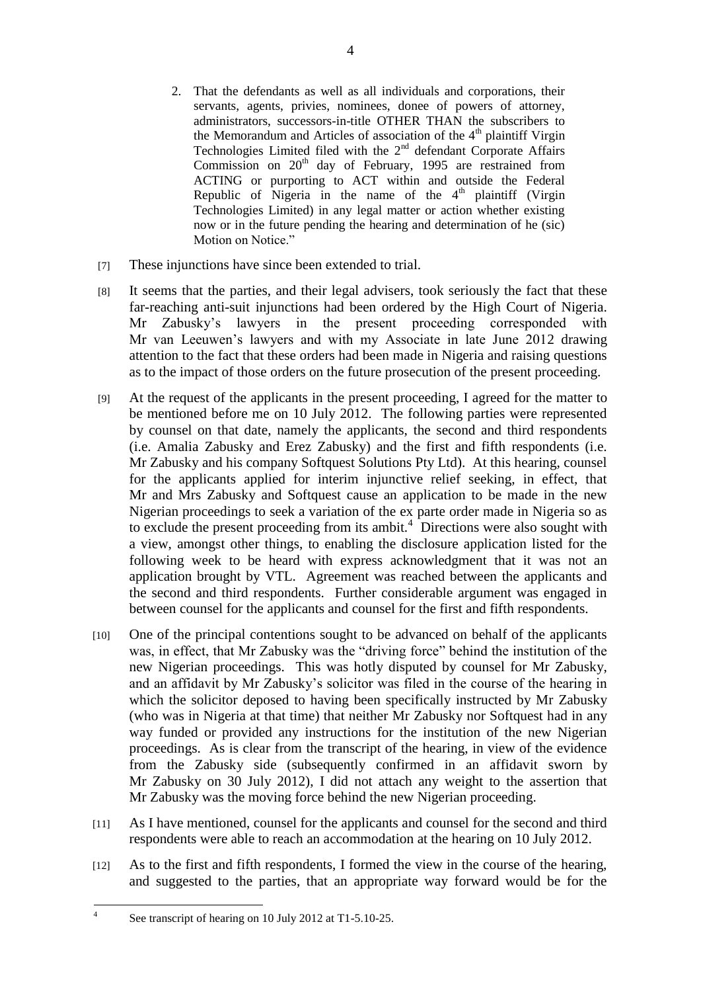- 2. That the defendants as well as all individuals and corporations, their servants, agents, privies, nominees, donee of powers of attorney, administrators, successors-in-title OTHER THAN the subscribers to the Memorandum and Articles of association of the  $4<sup>th</sup>$  plaintiff Virgin Technologies Limited filed with the  $2<sup>nd</sup>$  defendant Corporate Affairs Commission on  $20<sup>th</sup>$  day of February, 1995 are restrained from ACTING or purporting to ACT within and outside the Federal Republic of Nigeria in the name of the  $4<sup>th</sup>$  plaintiff (Virgin Technologies Limited) in any legal matter or action whether existing now or in the future pending the hearing and determination of he (sic) Motion on Notice."
- [7] These injunctions have since been extended to trial.
- [8] It seems that the parties, and their legal advisers, took seriously the fact that these far-reaching anti-suit injunctions had been ordered by the High Court of Nigeria. Mr Zabusky"s lawyers in the present proceeding corresponded with Mr van Leeuwen"s lawyers and with my Associate in late June 2012 drawing attention to the fact that these orders had been made in Nigeria and raising questions as to the impact of those orders on the future prosecution of the present proceeding.
- [9] At the request of the applicants in the present proceeding, I agreed for the matter to be mentioned before me on 10 July 2012. The following parties were represented by counsel on that date, namely the applicants, the second and third respondents (i.e. Amalia Zabusky and Erez Zabusky) and the first and fifth respondents (i.e. Mr Zabusky and his company Softquest Solutions Pty Ltd). At this hearing, counsel for the applicants applied for interim injunctive relief seeking, in effect, that Mr and Mrs Zabusky and Softquest cause an application to be made in the new Nigerian proceedings to seek a variation of the ex parte order made in Nigeria so as to exclude the present proceeding from its ambit.<sup>4</sup> Directions were also sought with a view, amongst other things, to enabling the disclosure application listed for the following week to be heard with express acknowledgment that it was not an application brought by VTL. Agreement was reached between the applicants and the second and third respondents. Further considerable argument was engaged in between counsel for the applicants and counsel for the first and fifth respondents.
- [10] One of the principal contentions sought to be advanced on behalf of the applicants was, in effect, that Mr Zabusky was the "driving force" behind the institution of the new Nigerian proceedings. This was hotly disputed by counsel for Mr Zabusky, and an affidavit by Mr Zabusky"s solicitor was filed in the course of the hearing in which the solicitor deposed to having been specifically instructed by Mr Zabusky (who was in Nigeria at that time) that neither Mr Zabusky nor Softquest had in any way funded or provided any instructions for the institution of the new Nigerian proceedings. As is clear from the transcript of the hearing, in view of the evidence from the Zabusky side (subsequently confirmed in an affidavit sworn by Mr Zabusky on 30 July 2012), I did not attach any weight to the assertion that Mr Zabusky was the moving force behind the new Nigerian proceeding.
- [11] As I have mentioned, counsel for the applicants and counsel for the second and third respondents were able to reach an accommodation at the hearing on 10 July 2012.
- [12] As to the first and fifth respondents, I formed the view in the course of the hearing, and suggested to the parties, that an appropriate way forward would be for the

 $\frac{1}{4}$ 

See transcript of hearing on 10 July 2012 at T1-5.10-25.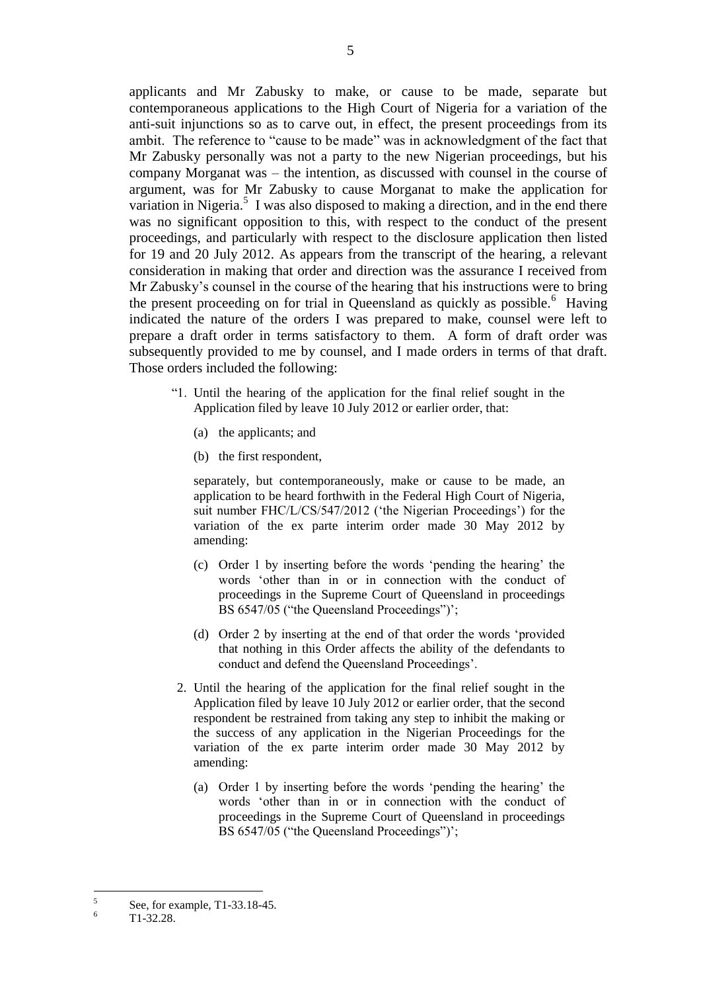applicants and Mr Zabusky to make, or cause to be made, separate but contemporaneous applications to the High Court of Nigeria for a variation of the anti-suit injunctions so as to carve out, in effect, the present proceedings from its ambit. The reference to "cause to be made" was in acknowledgment of the fact that Mr Zabusky personally was not a party to the new Nigerian proceedings, but his company Morganat was – the intention, as discussed with counsel in the course of argument, was for Mr Zabusky to cause Morganat to make the application for variation in Nigeria.<sup>5</sup> I was also disposed to making a direction, and in the end there was no significant opposition to this, with respect to the conduct of the present proceedings, and particularly with respect to the disclosure application then listed for 19 and 20 July 2012. As appears from the transcript of the hearing, a relevant consideration in making that order and direction was the assurance I received from Mr Zabusky"s counsel in the course of the hearing that his instructions were to bring the present proceeding on for trial in Queensland as quickly as possible.<sup>6</sup> Having indicated the nature of the orders I was prepared to make, counsel were left to prepare a draft order in terms satisfactory to them. A form of draft order was subsequently provided to me by counsel, and I made orders in terms of that draft. Those orders included the following:

- "1. Until the hearing of the application for the final relief sought in the Application filed by leave 10 July 2012 or earlier order, that:
	- (a) the applicants; and
	- (b) the first respondent,

separately, but contemporaneously, make or cause to be made, an application to be heard forthwith in the Federal High Court of Nigeria, suit number FHC/L/CS/547/2012 ('the Nigerian Proceedings') for the variation of the ex parte interim order made 30 May 2012 by amending:

- (c) Order 1 by inserting before the words "pending the hearing" the words "other than in or in connection with the conduct of proceedings in the Supreme Court of Queensland in proceedings BS 6547/05 ("the Queensland Proceedings")";
- (d) Order 2 by inserting at the end of that order the words "provided that nothing in this Order affects the ability of the defendants to conduct and defend the Queensland Proceedings".
- 2. Until the hearing of the application for the final relief sought in the Application filed by leave 10 July 2012 or earlier order, that the second respondent be restrained from taking any step to inhibit the making or the success of any application in the Nigerian Proceedings for the variation of the ex parte interim order made 30 May 2012 by amending:
	- (a) Order 1 by inserting before the words "pending the hearing" the words "other than in or in connection with the conduct of proceedings in the Supreme Court of Queensland in proceedings BS 6547/05 ("the Queensland Proceedings")";

 $\frac{1}{5}$ See, for example, T1-33.18-45.

 $T1-32.28$ .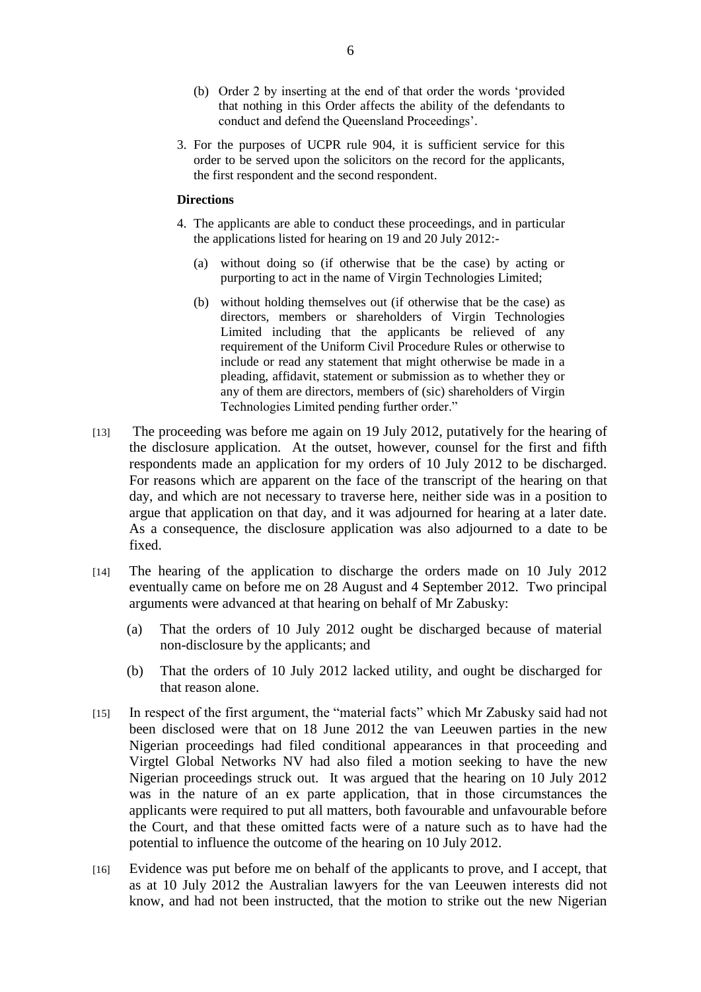- (b) Order 2 by inserting at the end of that order the words "provided that nothing in this Order affects the ability of the defendants to conduct and defend the Queensland Proceedings".
- 3. For the purposes of UCPR rule 904, it is sufficient service for this order to be served upon the solicitors on the record for the applicants, the first respondent and the second respondent.

## **Directions**

- 4. The applicants are able to conduct these proceedings, and in particular the applications listed for hearing on 19 and 20 July 2012:-
	- (a) without doing so (if otherwise that be the case) by acting or purporting to act in the name of Virgin Technologies Limited;
	- (b) without holding themselves out (if otherwise that be the case) as directors, members or shareholders of Virgin Technologies Limited including that the applicants be relieved of any requirement of the Uniform Civil Procedure Rules or otherwise to include or read any statement that might otherwise be made in a pleading, affidavit, statement or submission as to whether they or any of them are directors, members of (sic) shareholders of Virgin Technologies Limited pending further order."
- [13] The proceeding was before me again on 19 July 2012, putatively for the hearing of the disclosure application. At the outset, however, counsel for the first and fifth respondents made an application for my orders of 10 July 2012 to be discharged. For reasons which are apparent on the face of the transcript of the hearing on that day, and which are not necessary to traverse here, neither side was in a position to argue that application on that day, and it was adjourned for hearing at a later date. As a consequence, the disclosure application was also adjourned to a date to be fixed.
- [14] The hearing of the application to discharge the orders made on 10 July 2012 eventually came on before me on 28 August and 4 September 2012. Two principal arguments were advanced at that hearing on behalf of Mr Zabusky:
	- (a) That the orders of 10 July 2012 ought be discharged because of material non-disclosure by the applicants; and
	- (b) That the orders of 10 July 2012 lacked utility, and ought be discharged for that reason alone.
- [15] In respect of the first argument, the "material facts" which Mr Zabusky said had not been disclosed were that on 18 June 2012 the van Leeuwen parties in the new Nigerian proceedings had filed conditional appearances in that proceeding and Virgtel Global Networks NV had also filed a motion seeking to have the new Nigerian proceedings struck out. It was argued that the hearing on 10 July 2012 was in the nature of an ex parte application, that in those circumstances the applicants were required to put all matters, both favourable and unfavourable before the Court, and that these omitted facts were of a nature such as to have had the potential to influence the outcome of the hearing on 10 July 2012.
- [16] Evidence was put before me on behalf of the applicants to prove, and I accept, that as at 10 July 2012 the Australian lawyers for the van Leeuwen interests did not know, and had not been instructed, that the motion to strike out the new Nigerian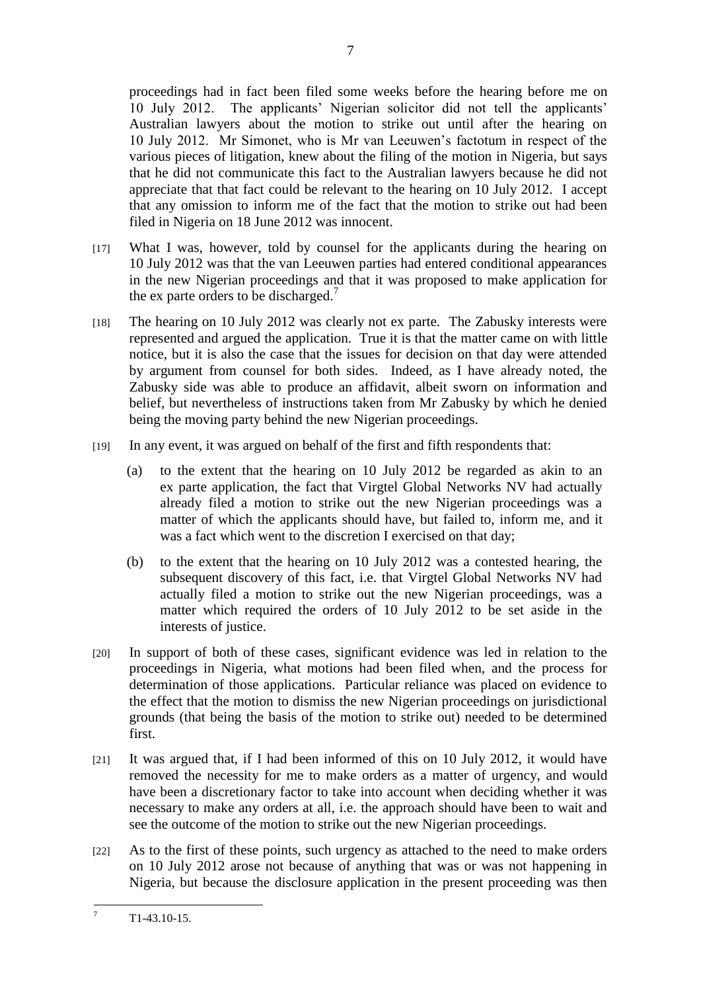proceedings had in fact been filed some weeks before the hearing before me on 10 July 2012. The applicants" Nigerian solicitor did not tell the applicants" Australian lawyers about the motion to strike out until after the hearing on 10 July 2012. Mr Simonet, who is Mr van Leeuwen"s factotum in respect of the various pieces of litigation, knew about the filing of the motion in Nigeria, but says that he did not communicate this fact to the Australian lawyers because he did not appreciate that that fact could be relevant to the hearing on 10 July 2012. I accept that any omission to inform me of the fact that the motion to strike out had been filed in Nigeria on 18 June 2012 was innocent.

7

- [17] What I was, however, told by counsel for the applicants during the hearing on 10 July 2012 was that the van Leeuwen parties had entered conditional appearances in the new Nigerian proceedings and that it was proposed to make application for the ex parte orders to be discharged.<sup>7</sup>
- [18] The hearing on 10 July 2012 was clearly not ex parte. The Zabusky interests were represented and argued the application. True it is that the matter came on with little notice, but it is also the case that the issues for decision on that day were attended by argument from counsel for both sides. Indeed, as I have already noted, the Zabusky side was able to produce an affidavit, albeit sworn on information and belief, but nevertheless of instructions taken from Mr Zabusky by which he denied being the moving party behind the new Nigerian proceedings.
- [19] In any event, it was argued on behalf of the first and fifth respondents that:
	- (a) to the extent that the hearing on 10 July 2012 be regarded as akin to an ex parte application, the fact that Virgtel Global Networks NV had actually already filed a motion to strike out the new Nigerian proceedings was a matter of which the applicants should have, but failed to, inform me, and it was a fact which went to the discretion I exercised on that day;
	- (b) to the extent that the hearing on 10 July 2012 was a contested hearing, the subsequent discovery of this fact, i.e. that Virgtel Global Networks NV had actually filed a motion to strike out the new Nigerian proceedings, was a matter which required the orders of 10 July 2012 to be set aside in the interests of justice.
- [20] In support of both of these cases, significant evidence was led in relation to the proceedings in Nigeria, what motions had been filed when, and the process for determination of those applications. Particular reliance was placed on evidence to the effect that the motion to dismiss the new Nigerian proceedings on jurisdictional grounds (that being the basis of the motion to strike out) needed to be determined first.
- [21] It was argued that, if I had been informed of this on 10 July 2012, it would have removed the necessity for me to make orders as a matter of urgency, and would have been a discretionary factor to take into account when deciding whether it was necessary to make any orders at all, i.e. the approach should have been to wait and see the outcome of the motion to strike out the new Nigerian proceedings.
- [22] As to the first of these points, such urgency as attached to the need to make orders on 10 July 2012 arose not because of anything that was or was not happening in Nigeria, but because the disclosure application in the present proceeding was then

 $\overline{7}$ <sup>7</sup> T1-43.10-15.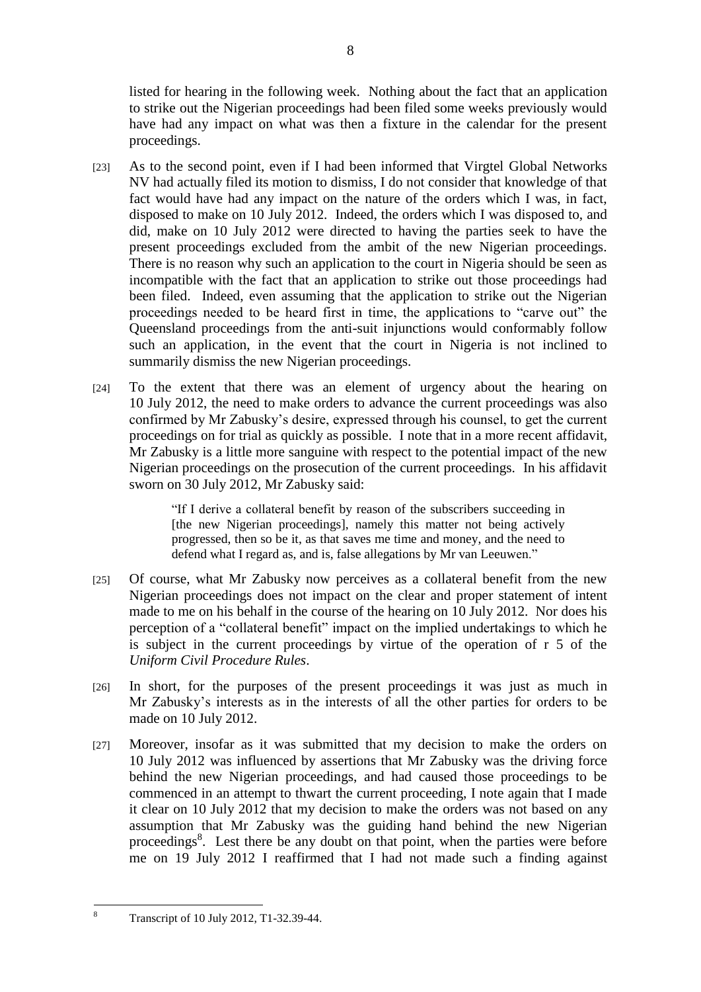listed for hearing in the following week. Nothing about the fact that an application to strike out the Nigerian proceedings had been filed some weeks previously would have had any impact on what was then a fixture in the calendar for the present proceedings.

- [23] As to the second point, even if I had been informed that Virgtel Global Networks NV had actually filed its motion to dismiss, I do not consider that knowledge of that fact would have had any impact on the nature of the orders which I was, in fact, disposed to make on 10 July 2012. Indeed, the orders which I was disposed to, and did, make on 10 July 2012 were directed to having the parties seek to have the present proceedings excluded from the ambit of the new Nigerian proceedings. There is no reason why such an application to the court in Nigeria should be seen as incompatible with the fact that an application to strike out those proceedings had been filed. Indeed, even assuming that the application to strike out the Nigerian proceedings needed to be heard first in time, the applications to "carve out" the Queensland proceedings from the anti-suit injunctions would conformably follow such an application, in the event that the court in Nigeria is not inclined to summarily dismiss the new Nigerian proceedings.
- [24] To the extent that there was an element of urgency about the hearing on 10 July 2012, the need to make orders to advance the current proceedings was also confirmed by Mr Zabusky"s desire, expressed through his counsel, to get the current proceedings on for trial as quickly as possible. I note that in a more recent affidavit, Mr Zabusky is a little more sanguine with respect to the potential impact of the new Nigerian proceedings on the prosecution of the current proceedings. In his affidavit sworn on 30 July 2012, Mr Zabusky said:

"If I derive a collateral benefit by reason of the subscribers succeeding in [the new Nigerian proceedings], namely this matter not being actively progressed, then so be it, as that saves me time and money, and the need to defend what I regard as, and is, false allegations by Mr van Leeuwen."

- [25] Of course, what Mr Zabusky now perceives as a collateral benefit from the new Nigerian proceedings does not impact on the clear and proper statement of intent made to me on his behalf in the course of the hearing on 10 July 2012. Nor does his perception of a "collateral benefit" impact on the implied undertakings to which he is subject in the current proceedings by virtue of the operation of r 5 of the *Uniform Civil Procedure Rules*.
- [26] In short, for the purposes of the present proceedings it was just as much in Mr Zabusky"s interests as in the interests of all the other parties for orders to be made on 10 July 2012.
- [27] Moreover, insofar as it was submitted that my decision to make the orders on 10 July 2012 was influenced by assertions that Mr Zabusky was the driving force behind the new Nigerian proceedings, and had caused those proceedings to be commenced in an attempt to thwart the current proceeding, I note again that I made it clear on 10 July 2012 that my decision to make the orders was not based on any assumption that Mr Zabusky was the guiding hand behind the new Nigerian proceedings<sup>8</sup>. Lest there be any doubt on that point, when the parties were before me on 19 July 2012 I reaffirmed that I had not made such a finding against

8

 $\overline{8}$ 

<sup>8</sup> Transcript of 10 July 2012, T1-32.39-44.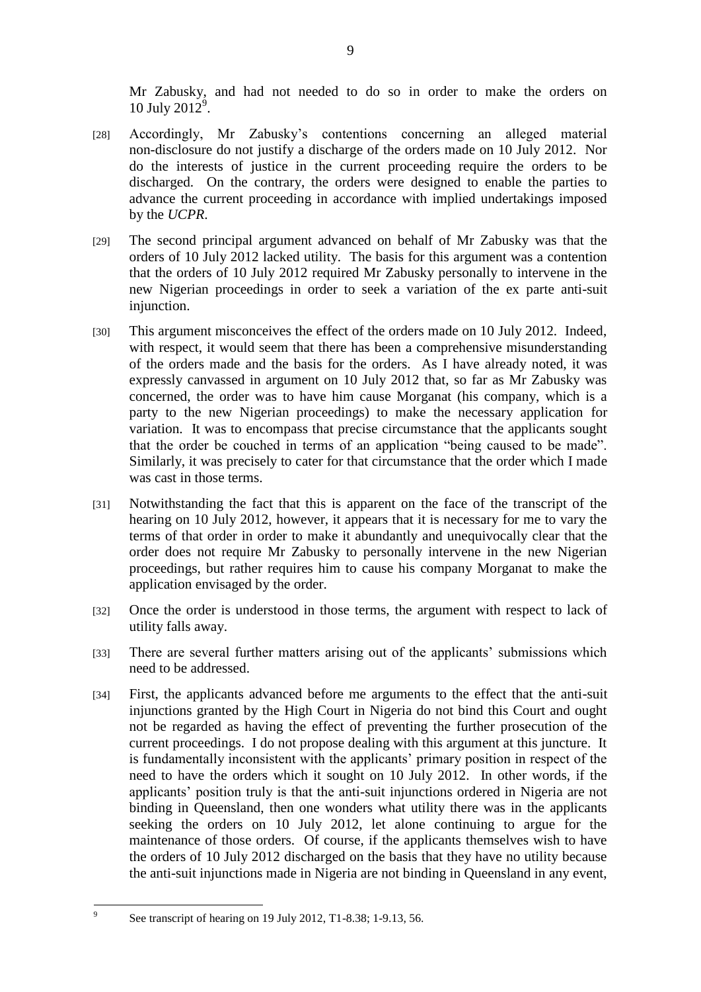Mr Zabusky, and had not needed to do so in order to make the orders on 10 July 2012<sup>9</sup>.

- [28] Accordingly, Mr Zabusky's contentions concerning an alleged material non-disclosure do not justify a discharge of the orders made on 10 July 2012. Nor do the interests of justice in the current proceeding require the orders to be discharged. On the contrary, the orders were designed to enable the parties to advance the current proceeding in accordance with implied undertakings imposed by the *UCPR*.
- [29] The second principal argument advanced on behalf of Mr Zabusky was that the orders of 10 July 2012 lacked utility. The basis for this argument was a contention that the orders of 10 July 2012 required Mr Zabusky personally to intervene in the new Nigerian proceedings in order to seek a variation of the ex parte anti-suit injunction.
- [30] This argument misconceives the effect of the orders made on 10 July 2012. Indeed, with respect, it would seem that there has been a comprehensive misunderstanding of the orders made and the basis for the orders. As I have already noted, it was expressly canvassed in argument on 10 July 2012 that, so far as Mr Zabusky was concerned, the order was to have him cause Morganat (his company, which is a party to the new Nigerian proceedings) to make the necessary application for variation. It was to encompass that precise circumstance that the applicants sought that the order be couched in terms of an application "being caused to be made". Similarly, it was precisely to cater for that circumstance that the order which I made was cast in those terms.
- [31] Notwithstanding the fact that this is apparent on the face of the transcript of the hearing on 10 July 2012, however, it appears that it is necessary for me to vary the terms of that order in order to make it abundantly and unequivocally clear that the order does not require Mr Zabusky to personally intervene in the new Nigerian proceedings, but rather requires him to cause his company Morganat to make the application envisaged by the order.
- [32] Once the order is understood in those terms, the argument with respect to lack of utility falls away.
- [33] There are several further matters arising out of the applicants' submissions which need to be addressed.
- [34] First, the applicants advanced before me arguments to the effect that the anti-suit injunctions granted by the High Court in Nigeria do not bind this Court and ought not be regarded as having the effect of preventing the further prosecution of the current proceedings. I do not propose dealing with this argument at this juncture. It is fundamentally inconsistent with the applicants' primary position in respect of the need to have the orders which it sought on 10 July 2012. In other words, if the applicants" position truly is that the anti-suit injunctions ordered in Nigeria are not binding in Queensland, then one wonders what utility there was in the applicants seeking the orders on 10 July 2012, let alone continuing to argue for the maintenance of those orders. Of course, if the applicants themselves wish to have the orders of 10 July 2012 discharged on the basis that they have no utility because the anti-suit injunctions made in Nigeria are not binding in Queensland in any event,

–<br>9

See transcript of hearing on 19 July 2012, T1-8.38; 1-9.13, 56.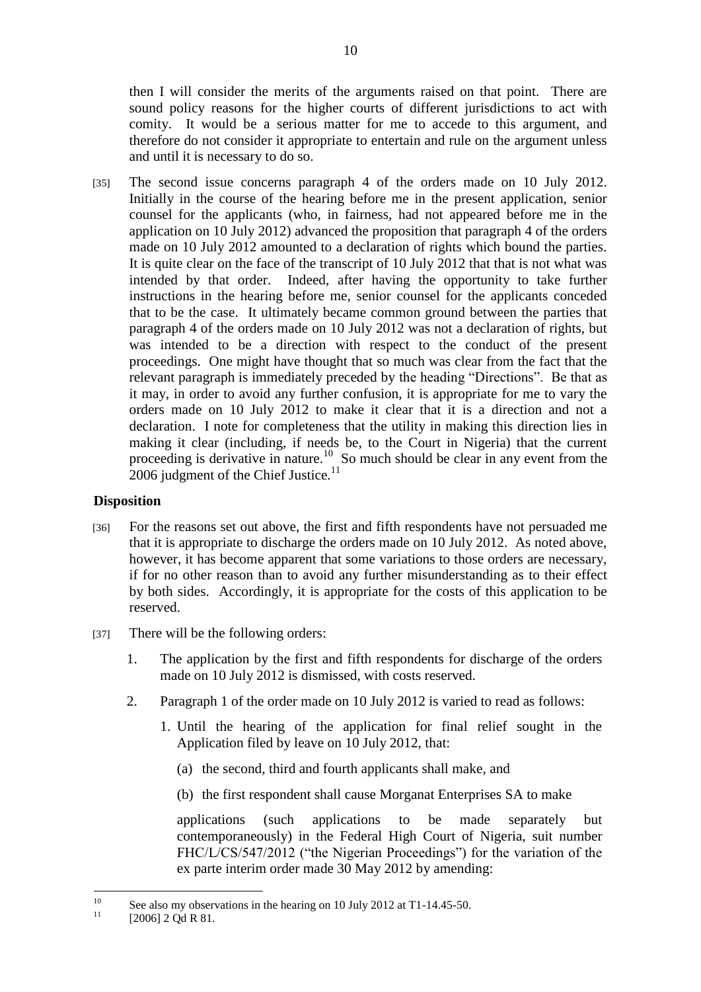then I will consider the merits of the arguments raised on that point. There are sound policy reasons for the higher courts of different jurisdictions to act with comity. It would be a serious matter for me to accede to this argument, and therefore do not consider it appropriate to entertain and rule on the argument unless and until it is necessary to do so.

[35] The second issue concerns paragraph 4 of the orders made on 10 July 2012. Initially in the course of the hearing before me in the present application, senior counsel for the applicants (who, in fairness, had not appeared before me in the application on 10 July 2012) advanced the proposition that paragraph 4 of the orders made on 10 July 2012 amounted to a declaration of rights which bound the parties. It is quite clear on the face of the transcript of 10 July 2012 that that is not what was intended by that order. Indeed, after having the opportunity to take further instructions in the hearing before me, senior counsel for the applicants conceded that to be the case. It ultimately became common ground between the parties that paragraph 4 of the orders made on 10 July 2012 was not a declaration of rights, but was intended to be a direction with respect to the conduct of the present proceedings. One might have thought that so much was clear from the fact that the relevant paragraph is immediately preceded by the heading "Directions". Be that as it may, in order to avoid any further confusion, it is appropriate for me to vary the orders made on 10 July 2012 to make it clear that it is a direction and not a declaration. I note for completeness that the utility in making this direction lies in making it clear (including, if needs be, to the Court in Nigeria) that the current proceeding is derivative in nature.<sup>10</sup> So much should be clear in any event from the 2006 judgment of the Chief Justice. $11$ 

## **Disposition**

- [36] For the reasons set out above, the first and fifth respondents have not persuaded me that it is appropriate to discharge the orders made on 10 July 2012. As noted above, however, it has become apparent that some variations to those orders are necessary, if for no other reason than to avoid any further misunderstanding as to their effect by both sides. Accordingly, it is appropriate for the costs of this application to be reserved.
- [37] There will be the following orders:
	- 1. The application by the first and fifth respondents for discharge of the orders made on 10 July 2012 is dismissed, with costs reserved.
	- 2. Paragraph 1 of the order made on 10 July 2012 is varied to read as follows:
		- 1. Until the hearing of the application for final relief sought in the Application filed by leave on 10 July 2012, that:
			- (a) the second, third and fourth applicants shall make, and
			- (b) the first respondent shall cause Morganat Enterprises SA to make

applications (such applications to be made separately but contemporaneously) in the Federal High Court of Nigeria, suit number FHC/L/CS/547/2012 ("the Nigerian Proceedings") for the variation of the ex parte interim order made 30 May 2012 by amending:

 $10$ <sup>10</sup> See also my observations in the hearing on 10 July 2012 at T1-14.45-50.

 $[2006]$  2 Qd R 81.